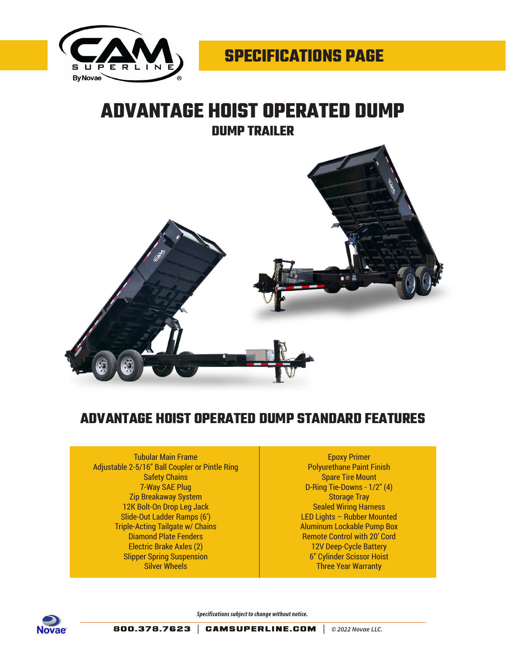

## **ADVANTAGE HOIST OPERATED DUMP DUMP TRAILER**



## **ADVANTAGE HOIST OPERATED DUMP STANDARD FEATURES**

Tubular Main Frame Adjustable 2-5/16" Ball Coupler or Pintle Ring Safety Chains 7-Way SAE Plug Zip Breakaway System 12K Bolt-On Drop Leg Jack Slide-Out Ladder Ramps (6') Triple-Acting Tailgate w/ Chains Diamond Plate Fenders Electric Brake Axles (2) Slipper Spring Suspension Silver Wheels

Epoxy Primer Polyurethane Paint Finish Spare Tire Mount D-Ring Tie-Downs - 1/2" (4) Storage Tray Sealed Wiring Harness LED Lights – Rubber Mounted Aluminum Lockable Pump Box Remote Control with 20' Cord 12V Deep-Cycle Battery 6" Cylinder Scissor Hoist Three Year Warranty



*Specifications subject to change without notice.*